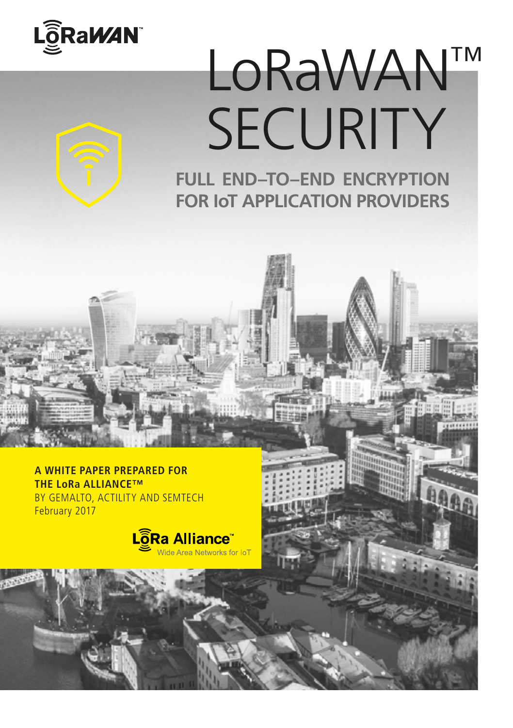

# LoRaWAN™ **SECURITY**

**FULL END–TO–END ENCRYPTION FOR IoT APPLICATION PROVIDERS**

**A WHITE PAPER PREPARED FOR THE LoRa ALLIANCE™**  BY GEMALTO, ACTILITY AND SEMTECH February 2017

> LoRa Alliance Wide Area Networks for IoT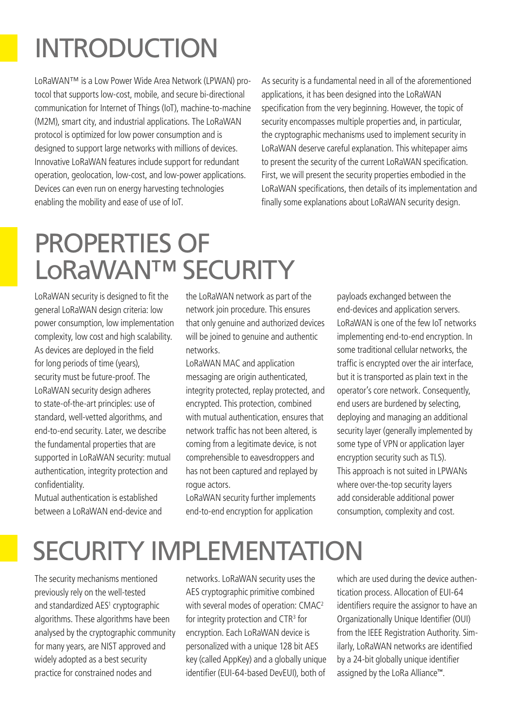# INTRODUCTION

LoRaWAN™ is a Low Power Wide Area Network (LPWAN) protocol that supports low-cost, mobile, and secure bi-directional communication for Internet of Things (IoT), machine-to-machine (M2M), smart city, and industrial applications. The LoRaWAN protocol is optimized for low power consumption and is designed to support large networks with millions of devices. Innovative LoRaWAN features include support for redundant operation, geolocation, low-cost, and low-power applications. Devices can even run on energy harvesting technologies enabling the mobility and ease of use of IoT.

As security is a fundamental need in all of the aforementioned applications, it has been designed into the LoRaWAN specification from the very beginning. However, the topic of security encompasses multiple properties and, in particular, the cryptographic mechanisms used to implement security in LoRaWAN deserve careful explanation. This whitepaper aims to present the security of the current LoRaWAN specification. First, we will present the security properties embodied in the LoRaWAN specifications, then details of its implementation and finally some explanations about LoRaWAN security design.

## PROPERTIES OF LoRaWAN™ SECURITY

LoRaWAN security is designed to fit the general LoRaWAN design criteria: low power consumption, low implementation complexity, low cost and high scalability. As devices are deployed in the field for long periods of time (years), security must be future-proof. The LoRaWAN security design adheres to state-of-the-art principles: use of standard, well-vetted algorithms, and end-to-end security. Later, we describe the fundamental properties that are supported in LoRaWAN security: mutual authentication, integrity protection and confidentiality.

Mutual authentication is established between a LoRaWAN end-device and

the LoRaWAN network as part of the network join procedure. This ensures that only genuine and authorized devices will be joined to genuine and authentic networks.

LoRaWAN MAC and application messaging are origin authenticated, integrity protected, replay protected, and encrypted. This protection, combined with mutual authentication, ensures that network traffic has not been altered, is coming from a legitimate device, is not comprehensible to eavesdroppers and has not been captured and replayed by rogue actors.

LoRaWAN security further implements end-to-end encryption for application

payloads exchanged between the end-devices and application servers. LoRaWAN is one of the few IoT networks implementing end-to-end encryption. In some traditional cellular networks, the traffic is encrypted over the air interface, but it is transported as plain text in the operator's core network. Consequently, end users are burdened by selecting, deploying and managing an additional security layer (generally implemented by some type of VPN or application layer encryption security such as TLS). This approach is not suited in LPWANs where over-the-top security layers add considerable additional power consumption, complexity and cost.

### SECURITY IMPLEMENTATION

The security mechanisms mentioned previously rely on the well-tested and standardized AES<sup>1</sup> cryptographic algorithms. These algorithms have been analysed by the cryptographic community for many years, are NIST approved and widely adopted as a best security practice for constrained nodes and

networks. LoRaWAN security uses the AES cryptographic primitive combined with several modes of operation: CMAC<sup>2</sup> for integrity protection and CTR<sup>3</sup> for encryption. Each LoRaWAN device is personalized with a unique 128 bit AES key (called AppKey) and a globally unique identifier (EUI-64-based DevEUI), both of which are used during the device authentication process. Allocation of EUI-64 identifiers require the assignor to have an Organizationally Unique Identifier (OUI) from the IEEE Registration Authority. Similarly, LoRaWAN networks are identified by a 24-bit globally unique identifier assigned by the LoRa Alliance™.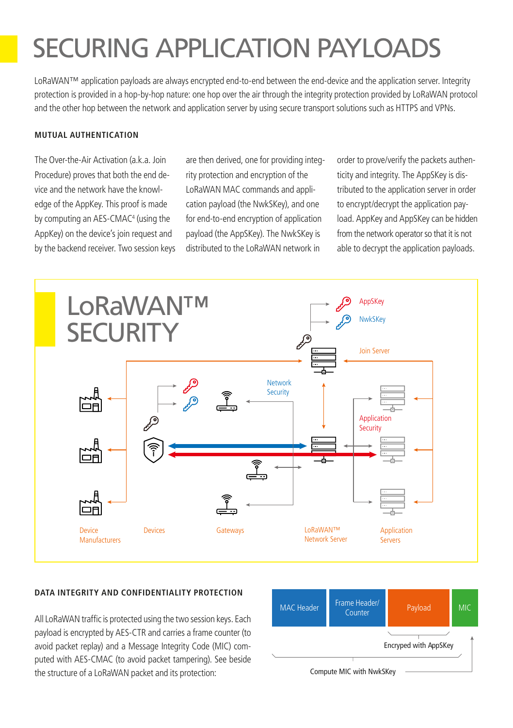# SECURING APPLICATION PAYLOADS

LoRaWAN™ application payloads are always encrypted end-to-end between the end-device and the application server. Integrity protection is provided in a hop-by-hop nature: one hop over the air through the integrity protection provided by LoRaWAN protocol and the other hop between the network and application server by using secure transport solutions such as HTTPS and VPNs.

### **MUTUAL AUTHENTICATION**

The Over-the-Air Activation (a.k.a. Join Procedure) proves that both the end device and the network have the knowledge of the AppKey. This proof is made by computing an AES-CMAC4 (using the AppKey) on the device's join request and by the backend receiver. Two session keys are then derived, one for providing integrity protection and encryption of the LoRaWAN MAC commands and application payload (the NwkSKey), and one for end-to-end encryption of application payload (the AppSKey). The NwkSKey is distributed to the LoRaWAN network in

order to prove/verify the packets authenticity and integrity. The AppSKey is distributed to the application server in order to encrypt/decrypt the application payload. AppKey and AppSKey can be hidden from the network operator so that it is not able to decrypt the application payloads.



### **DATA INTEGRITY AND CONFIDENTIALITY PROTECTION**

All LoRaWAN traffic is protected using the two session keys. Each payload is encrypted by AES-CTR and carries a frame counter (to avoid packet replay) and a Message Integrity Code (MIC) computed with AES-CMAC (to avoid packet tampering). See beside the structure of a LoRaWAN packet and its protection: